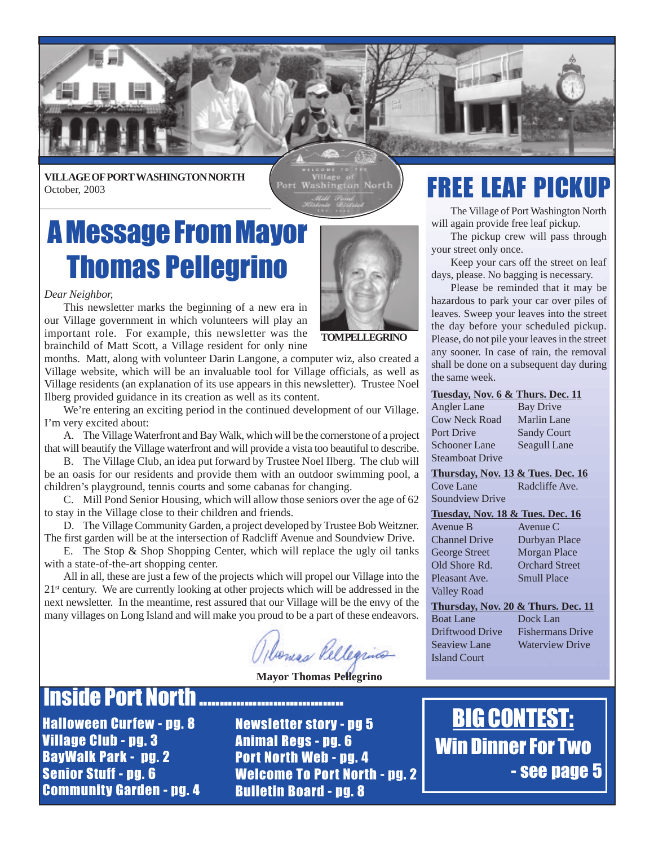

**VILLAGE OF PORT WASHINGTON NORTH** October, 2003

Port Washington North

## A Message From Mayor Thomas Pellegrino



*Dear Neighbor,*

This newsletter marks the beginning of a new era in our Village government in which volunteers will play an important role. For example, this newsletter was the brainchild of Matt Scott, a Village resident for only nine

months. Matt, along with volunteer Darin Langone, a computer wiz, also created a Village website, which will be an invaluable tool for Village officials, as well as Village residents (an explanation of its use appears in this newsletter). Trustee Noel Ilberg provided guidance in its creation as well as its content.

We're entering an exciting period in the continued development of our Village. I'm very excited about:

A. The Village Waterfront and Bay Walk, which will be the cornerstone of a project that will beautify the Village waterfront and will provide a vista too beautiful to describe.

B. The Village Club, an idea put forward by Trustee Noel Ilberg. The club will be an oasis for our residents and provide them with an outdoor swimming pool, a children's playground, tennis courts and some cabanas for changing.

C. Mill Pond Senior Housing, which will allow those seniors over the age of 62 to stay in the Village close to their children and friends.

D. The Village Community Garden, a project developed by Trustee Bob Weitzner. The first garden will be at the intersection of Radcliff Avenue and Soundview Drive.

E. The Stop & Shop Shopping Center, which will replace the ugly oil tanks with a state-of-the-art shopping center.

All in all, these are just a few of the projects which will propel our Village into the  $21<sup>st</sup>$  century. We are currently looking at other projects which will be addressed in the next newsletter. In the meantime, rest assured that our Village will be the envy of the many villages on Long Island and will make you proud to be a part of these endeavors.

bones Vellegrino

 **Mayor Thomas Pellegrino**

### **Inside Port North ................................**

Halloween Curfew - pg. 8 Village Club - pg. 3 BayWalk Park - pg. 2 Senior Stuff - pg. 6 Community Garden - pg. 4

Newsletter story - pg 5 Animal Regs - pg. 6 Port North Web - pg. 4 Welcome To Port North - pg. 2 Bulletin Board - pg. 8

## FREE LEAF PICKUP

The Village of Port Washington North will again provide free leaf pickup.

The pickup crew will pass through your street only once.

Keep your cars off the street on leaf days, please. No bagging is necessary.

Please be reminded that it may be hazardous to park your car over piles of leaves. Sweep your leaves into the street the day before your scheduled pickup. Please, do not pile your leaves in the street any sooner. In case of rain, the removal shall be done on a subsequent day during the same week.

#### **Tuesday, Nov. 6 & Thurs. Dec. 11**

| Angler Lane          | Bay Drive          |
|----------------------|--------------------|
| <b>Cow Neck Road</b> | <b>Marlin Lane</b> |
| Port Drive           | <b>Sandy Court</b> |
| Schooner Lane        | Seagull Lane       |
| Steamboat Drive      |                    |
|                      |                    |

**Thursday, Nov. 13 & Tues. Dec. 16** Cove Lane Radcliffe Ave. Soundview Drive

#### **Tuesday, Nov. 18 & Tues. Dec. 16**

Avenue B Avenue C Valley Road

Channel Drive Durbyan Place George Street Morgan Place Old Shore Rd. Orchard Street Pleasant Ave. Smull Place

#### **Thursday, Nov. 20 & Thurs. Dec. 11** Boat Lane Dock Lan Driftwood Drive Fishermans Drive

Seaview Lane Waterview Drive Island Court

BIG CONTEST: Win Dinner For Two - see page 5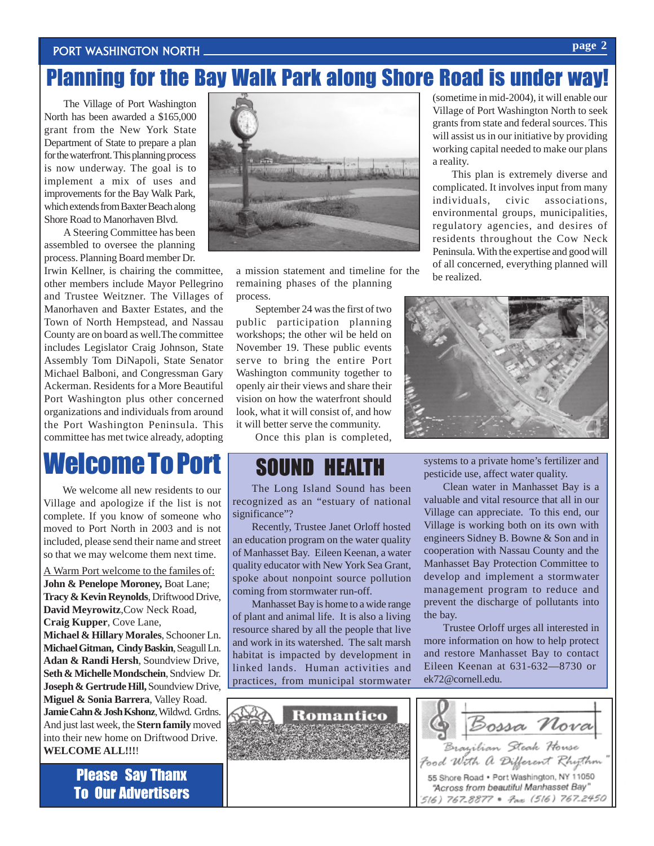#### PORT WASHINGTON NORTH.

## Planning for the Bay Walk Park along Shore Road is under way!

The Village of Port Washington North has been awarded a \$165,000 grant from the New York State Department of State to prepare a plan for the waterfront. This planning process is now underway. The goal is to implement a mix of uses and improvements for the Bay Walk Park, which extends from Baxter Beach along Shore Road to Manorhaven Blvd.

A Steering Committee has been assembled to oversee the planning process. Planning Board member Dr.

Irwin Kellner, is chairing the committee, other members include Mayor Pellegrino and Trustee Weitzner. The Villages of Manorhaven and Baxter Estates, and the Town of North Hempstead, and Nassau County are on board as well.The committee includes Legislator Craig Johnson, State Assembly Tom DiNapoli, State Senator Michael Balboni, and Congressman Gary Ackerman. Residents for a More Beautiful Port Washington plus other concerned organizations and individuals from around the Port Washington Peninsula. This committee has met twice already, adopting

## Welcome To Port

We welcome all new residents to our Village and apologize if the list is not complete. If you know of someone who moved to Port North in 2003 and is not included, please send their name and street so that we may welcome them next time.

A Warm Port welcome to the familes of: **John & Penelope Moroney,** Boat Lane; **Tracy & Kevin Reynolds**, Driftwood Drive, **David Meyrowitz**,Cow Neck Road, **Craig Kupper**, Cove Lane, **Michael & Hillary Morales**, Schooner Ln. **Michael Gitman, Cindy Baskin**, Seagull Ln. **Adan & Randi Hersh**, Soundview Drive, **Seth & Michelle Mondschein**, Sndview Dr. **Joseph & Gertrude Hill,** Soundview Drive, **Miguel & Sonia Barrera**, Valley Road. **Jamie Cahn & Josh Kshonz**, Wildwd. Grdns. And just last week, the **Stern family** moved into their new home on Driftwood Drive. **WELCOME ALL!!!**!

> Please Say Thanx To Our Advertisers



a mission statement and timeline for the remaining phases of the planning process.

September 24 was the first of two public participation planning workshops; the other wil be held on November 19. These public events serve to bring the entire Port Washington community together to openly air their views and share their vision on how the waterfront should look, what it will consist of, and how it will better serve the community.

Once this plan is completed,

### SOUND HEALTH

The Long Island Sound has been recognized as an "estuary of national significance"?

Recently, Trustee Janet Orloff hosted an education program on the water quality of Manhasset Bay. Eileen Keenan, a water quality educator with New York Sea Grant, spoke about nonpoint source pollution coming from stormwater run-off.

Manhasset Bay is home to a wide range of plant and animal life. It is also a living resource shared by all the people that live and work in its watershed. The salt marsh habitat is impacted by development in linked lands. Human activities and practices, from municipal stormwater

(sometime in mid-2004), it will enable our Village of Port Washington North to seek grants from state and federal sources. This will assist us in our initiative by providing working capital needed to make our plans a reality.

This plan is extremely diverse and complicated. It involves input from many individuals, civic associations, environmental groups, municipalities, regulatory agencies, and desires of residents throughout the Cow Neck Peninsula. With the expertise and good will of all concerned, everything planned will be realized.



systems to a private home's fertilizer and pesticide use, affect water quality.

Clean water in Manhasset Bay is a valuable and vital resource that all in our Village can appreciate. To this end, our Village is working both on its own with engineers Sidney B. Bowne & Son and in cooperation with Nassau County and the Manhasset Bay Protection Committee to develop and implement a stormwater management program to reduce and prevent the discharge of pollutants into the bay.

Trustee Orloff urges all interested in more information on how to help protect and restore Manhasset Bay to contact Eileen Keenan at 631-632—8730 or ek72@cornell.edu.



#### **page 2**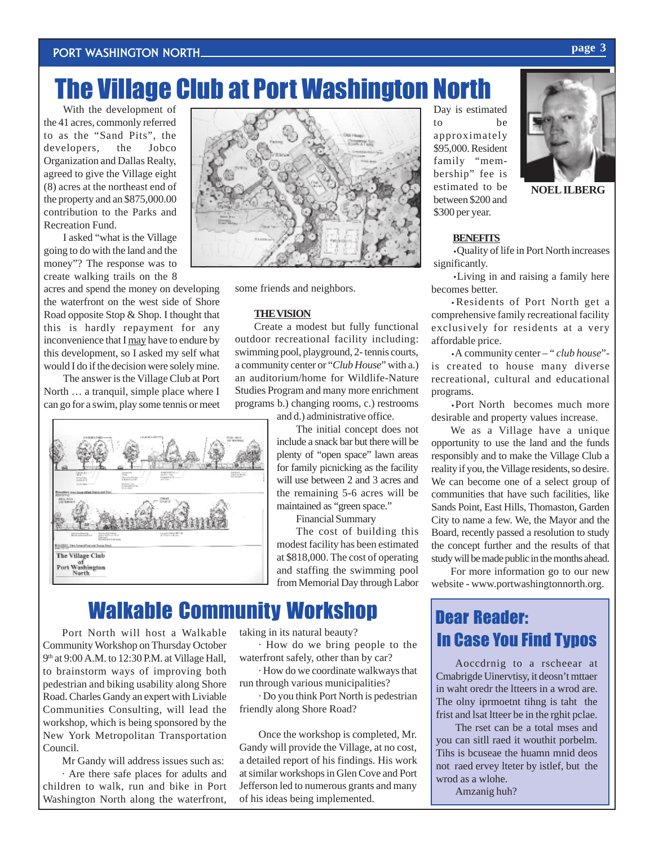## The Village Club at Port Washington North

With the development of the 41 acres, commonly referred to as the "Sand Pits", the developers, the Jobco Organization and Dallas Realty, agreed to give the Village eight (8) acres at the northeast end of the property and an \$875,000.00 contribution to the Parks and Recreation Fund.

I asked "what is the Village going to do with the land and the money"? The response was to create walking trails on the 8

acres and spend the money on developing the waterfront on the west side of Shore Road opposite Stop & Shop. I thought that this is hardly repayment for any inconvenience that I may have to endure by this development, so I asked my self what would I do if the decision were solely mine.

The answer is the Village Club at Port North … a tranquil, simple place where I can go for a swim, play some tennis or meet





some friends and neighbors.

#### **THE VISION**

Create a modest but fully functional outdoor recreational facility including: swimming pool, playground, 2- tennis courts, a community center or "*Club House*" with a.) an auditorium/home for Wildlife-Nature Studies Program and many more enrichment programs b.) changing rooms, c.) restrooms

and d.) administrative office.

The initial concept does not include a snack bar but there will be plenty of "open space" lawn areas for family picnicking as the facility will use between 2 and 3 acres and the remaining 5-6 acres will be maintained as "green space."

Financial Summary

The cost of building this modest facility has been estimated at \$818,000. The cost of operating and staffing the swimming pool from Memorial Day through Labor

### Walkable Community Workshop Dear Reader:

Port North will host a Walkable Community Workshop on Thursday October 9th at 9:00 A.M. to 12:30 P.M. at Village Hall, to brainstorm ways of improving both pedestrian and biking usability along Shore Road. Charles Gandy an expert with Liviable Communities Consulting, will lead the workshop, which is being sponsored by the New York Metropolitan Transportation Council.

Mr Gandy will address issues such as: · Are there safe places for adults and children to walk, run and bike in Port Washington North along the waterfront, taking in its natural beauty?

· How do we bring people to the waterfront safely, other than by car?

· How do we coordinate walkways that run through various municipalities?

· Do you think Port North is pedestrian friendly along Shore Road?

Once the workshop is completed, Mr. Gandy will provide the Village, at no cost, a detailed report of his findings. His work at similar workshops in Glen Cove and Port Jefferson led to numerous grants and many of his ideas being implemented.

Day is estimated to be approximately \$95,000. Resident family "membership" fee is estimated to be between \$200 and \$300 per year.



**NOEL ILBERG**

#### **BENEFITS**

·Quality of life in Port North increases significantly.

·Living in and raising a family here becomes better.

·Residents of Port North get a comprehensive family recreational facility exclusively for residents at a very affordable price.

·A community center – " *club house*" is created to house many diverse recreational, cultural and educational programs.

·Port North becomes much more desirable and property values increase.

We as a Village have a unique opportunity to use the land and the funds responsibly and to make the Village Club a reality if you, the Village residents, so desire. We can become one of a select group of communities that have such facilities, like Sands Point, East Hills, Thomaston, Garden City to name a few. We, the Mayor and the Board, recently passed a resolution to study the concept further and the results of that study will be made public in the months ahead.

For more information go to our new website - www.portwashingtonnorth.org.

# In Case You Find Typos

Aoccdrnig to a rscheear at Cmabrigde Uinervtisy, it deosn't mttaer in waht oredr the ltteers in a wrod are. The olny iprmoetnt tihng is taht the frist and lsat ltteer be in the rghit pclae.

The rset can be a total mses and you can sitll raed it wouthit porbelm. Tihs is bcuseae the huamn mnid deos not raed ervey lteter by istlef, but the wrod as a wlohe.

Amzanig huh?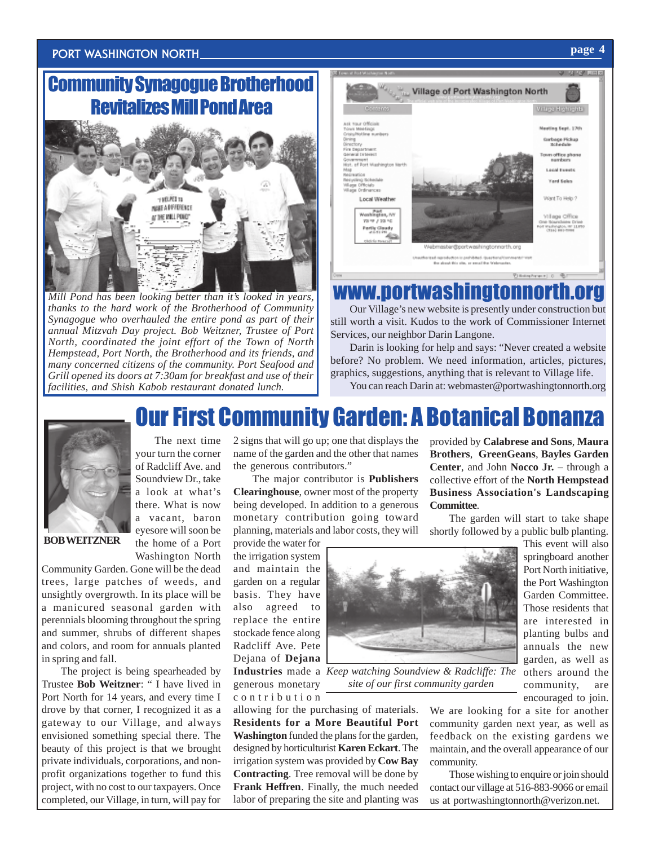#### Port Washington North **page 4**

### Community Synagogue Brotherhood Revitalizes Mill Pond Area



*Mill Pond has been looking better than it's looked in years, thanks to the hard work of the Brotherhood of Community Synagogue who overhauled the entire pond as part of their annual Mitzvah Day project. Bob Weitzner, Trustee of Port North, coordinated the joint effort of the Town of North Hempstead, Port North, the Brotherhood and its friends, and many concerned citizens of the community. Port Seafood and Grill opened its doors at 7:30am for breakfast and use of their facilities, and Shish Kabob restaurant donated lunch.*



## www.portwashington

Our Village's new website is presently under construction but still worth a visit. Kudos to the work of Commissioner Internet Services, our neighbor Darin Langone.

Darin is looking for help and says: "Never created a website before? No problem. We need information, articles, pictures, graphics, suggestions, anything that is relevant to Village life.

You can reach Darin at: webmaster@portwashingtonnorth.org

### Our First Community Garden: A Botanical Bon



The next time your turn the corner of Radcliff Ave. and Soundview Dr., take a look at what's there. What is now a vacant, baron eyesore will soon be the home of a Port Washington North

**BOB WEITZNER**

Community Garden. Gone will be the dead trees, large patches of weeds, and unsightly overgrowth. In its place will be a manicured seasonal garden with perennials blooming throughout the spring and summer, shrubs of different shapes and colors, and room for annuals planted in spring and fall.

The project is being spearheaded by Trustee **Bob Weitzner**: " I have lived in Port North for 14 years, and every time I drove by that corner, I recognized it as a gateway to our Village, and always envisioned something special there. The beauty of this project is that we brought private individuals, corporations, and nonprofit organizations together to fund this project, with no cost to our taxpayers. Once completed, our Village, in turn, will pay for

2 signs that will go up; one that displays the name of the garden and the other that names the generous contributors."

The major contributor is **Publishers Clearinghouse**, owner most of the property being developed. In addition to a generous monetary contribution going toward planning, materials and labor costs, they will

provide the water for the irrigation system and maintain the garden on a regular basis. They have also agreed to replace the entire stockade fence along Radcliff Ave. Pete Dejana of **Dejana** generous monetary contribution

allowing for the purchasing of materials. **Residents for a More Beautiful Port Washington** funded the plans for the garden, designed by horticulturist **Karen Eckart**. The irrigation system was provided by **Cow Bay Contracting**. Tree removal will be done by **Frank Heffren**. Finally, the much needed labor of preparing the site and planting was

provided by **Calabrese and Sons**, **Maura Brothers**, **GreenGeans**, **Bayles Garden Center**, and John **Nocco Jr.** – through a collective effort of the **North Hempstead Business Association's Landscaping Committee**.

The garden will start to take shape shortly followed by a public bulb planting.



**Industries** made a *Keep watching Soundview & Radcliffe: The site of our first community garden*

This event will also springboard another Port North initiative, the Port Washington Garden Committee. Those residents that are interested in planting bulbs and annuals the new garden, as well as others around the community, are encouraged to join.

We are looking for a site for another community garden next year, as well as feedback on the existing gardens we maintain, and the overall appearance of our community.

Those wishing to enquire or join should contact our village at 516-883-9066 or email us at portwashingtonnorth@verizon.net.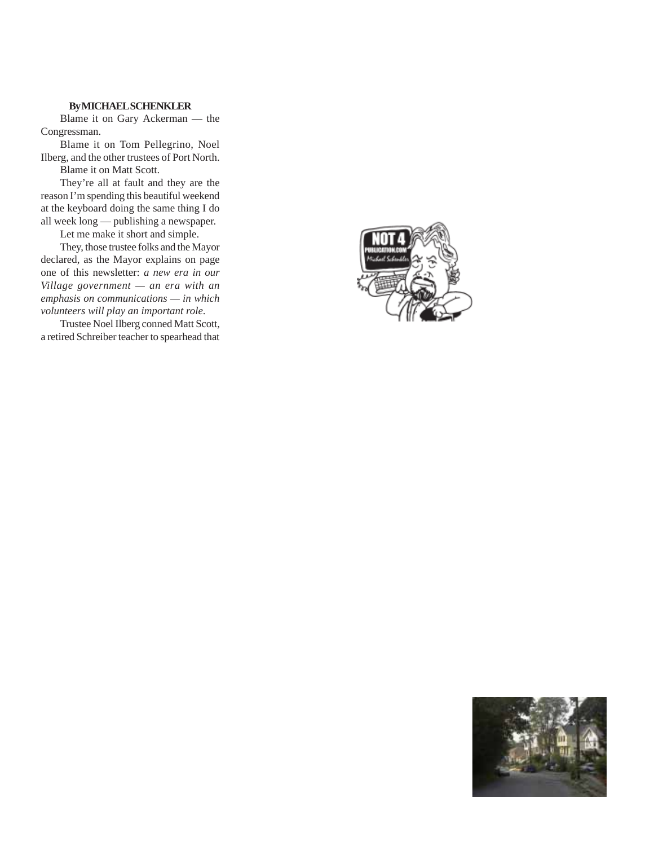#### **By MICHAEL SCHENKLER**

Blame it on Gary Ackerman — the Congressman.

Blame it on Tom Pellegrino, Noel Ilberg, and the other trustees of Port North. Blame it on Matt Scott.

They're all at fault and they are the reason I'm spending this beautiful weekend at the keyboard doing the same thing I do all week long — publishing a newspaper.

Let me make it short and simple.

They, those trustee folks and the Mayor declared, as the Mayor explains on page one of this newsletter: *a new era in our Village government — an era with an emphasis on communications — in which volunteers will play an important role*.

Trustee Noel Ilberg conned Matt Scott, a retired Schreiber teacher to spearhead that



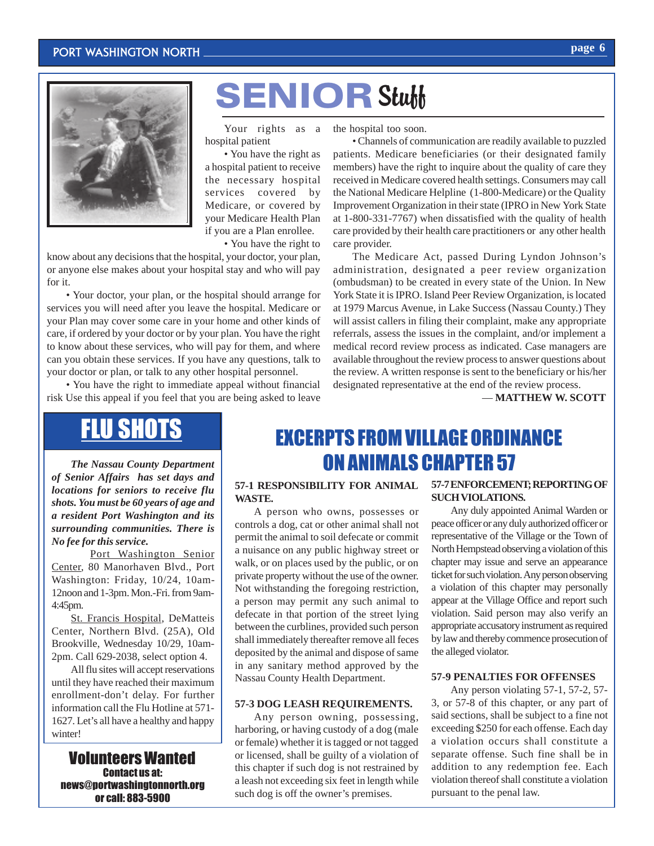#### Port Washington North



# **SENIOR Stuff**

Your rights as a hospital patient

• You have the right as a hospital patient to receive the necessary hospital services covered by Medicare, or covered by your Medicare Health Plan if you are a Plan enrollee.

• You have the right to

know about any decisions that the hospital, your doctor, your plan, or anyone else makes about your hospital stay and who will pay for it.

• Your doctor, your plan, or the hospital should arrange for services you will need after you leave the hospital. Medicare or your Plan may cover some care in your home and other kinds of care, if ordered by your doctor or by your plan. You have the right to know about these services, who will pay for them, and where can you obtain these services. If you have any questions, talk to your doctor or plan, or talk to any other hospital personnel.

• You have the right to immediate appeal without financial risk Use this appeal if you feel that you are being asked to leave

the hospital too soon.

• Channels of communication are readily available to puzzled patients. Medicare beneficiaries (or their designated family members) have the right to inquire about the quality of care they received in Medicare covered health settings. Consumers may call the National Medicare Helpline (1-800-Medicare) or the Quality Improvement Organization in their state (IPRO in New York State at 1-800-331-7767) when dissatisfied with the quality of health care provided by their health care practitioners or any other health care provider.

The Medicare Act, passed During Lyndon Johnson's administration, designated a peer review organization (ombudsman) to be created in every state of the Union. In New York State it is IPRO. Island Peer Review Organization, is located at 1979 Marcus Avenue, in Lake Success (Nassau County.) They will assist callers in filing their complaint, make any appropriate referrals, assess the issues in the complaint, and/or implement a medical record review process as indicated. Case managers are available throughout the review process to answer questions about the review. A written response is sent to the beneficiary or his/her designated representative at the end of the review process.

— **MATTHEW W. SCOTT**

## FLU SHOTS

*The Nassau County Department of Senior Affairs has set days and locations for seniors to receive flu shots. You must be 60 years of age and a resident Port Washington and its surrounding communities. There is No fee for this service.*

Port Washington Senior Center, 80 Manorhaven Blvd., Port Washington: Friday, 10/24, 10am-12noon and 1-3pm. Mon.-Fri. from 9am-4:45pm.

St. Francis Hospital, DeMatteis Center, Northern Blvd. (25A), Old Brookville, Wednesday 10/29, 10am-2pm. Call 629-2038, select option 4.

All flu sites will accept reservations until they have reached their maximum enrollment-don't delay. For further information call the Flu Hotline at 571- 1627. Let's all have a healthy and happy winter!

#### Volunteers Wanted Contact us at: news@portwashingtonnorth.org or call: 883-5900

### EXCERPTS FROM VILLAGE ORDINANCE ON ANIMALS CHAPTER 57

#### **57-1 RESPONSIBILITY FOR ANIMAL WASTE.**

A person who owns, possesses or controls a dog, cat or other animal shall not permit the animal to soil defecate or commit a nuisance on any public highway street or walk, or on places used by the public, or on private property without the use of the owner. Not withstanding the foregoing restriction, a person may permit any such animal to defecate in that portion of the street lying between the curblines, provided such person shall immediately thereafter remove all feces deposited by the animal and dispose of same in any sanitary method approved by the Nassau County Health Department.

#### **57-3 DOG LEASH REQUIREMENTS.**

Any person owning, possessing, harboring, or having custody of a dog (male or female) whether it is tagged or not tagged or licensed, shall be guilty of a violation of this chapter if such dog is not restrained by a leash not exceeding six feet in length while such dog is off the owner's premises.

#### **57-7 ENFORCEMENT; REPORTING OF SUCH VIOLATIONS.**

Any duly appointed Animal Warden or peace officer or any duly authorized officer or representative of the Village or the Town of North Hempstead observing a violation of this chapter may issue and serve an appearance ticket for such violation. Any person observing a violation of this chapter may personally appear at the Village Office and report such violation. Said person may also verify an appropriate accusatory instrument as required by law and thereby commence prosecution of the alleged violator.

#### **57-9 PENALTIES FOR OFFENSES**

Any person violating 57-1, 57-2, 57- 3, or 57-8 of this chapter, or any part of said sections, shall be subject to a fine not exceeding \$250 for each offense. Each day a violation occurs shall constitute a separate offense. Such fine shall be in addition to any redemption fee. Each violation thereof shall constitute a violation pursuant to the penal law.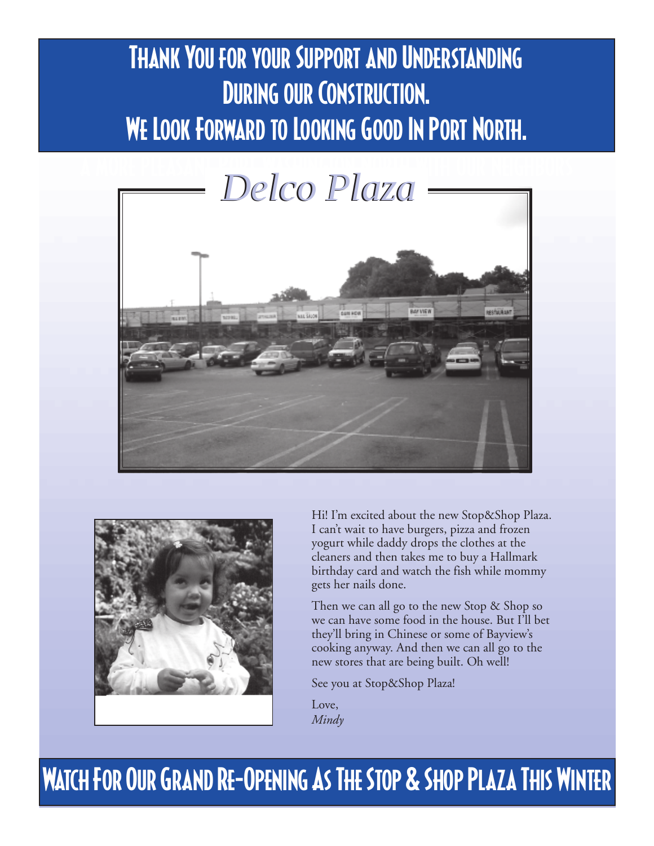# **THANK YOU FOR YOUR SUPPORT AND UNDERSTANDING** During our Construction. We Look Forward to Looking Good In Port North.





Hi! I'm excited about the new Stop&Shop Plaza. I can't wait to have burgers, pizza and frozen yogurt while daddy drops the clothes at the cleaners and then takes me to buy a Hallmark birthday card and watch the fish while mommy gets her nails done.

Then we can all go to the new Stop & Shop so we can have some food in the house. But I'll bet they'll bring in Chinese or some of Bayview's cooking anyway. And then we can all go to the new stores that are being built. Oh well!

See you at Stop&Shop Plaza!

Love, *Mindy*

## Watch For Our Grand Re-Opening As The Stop & Shop Plaza This Winter